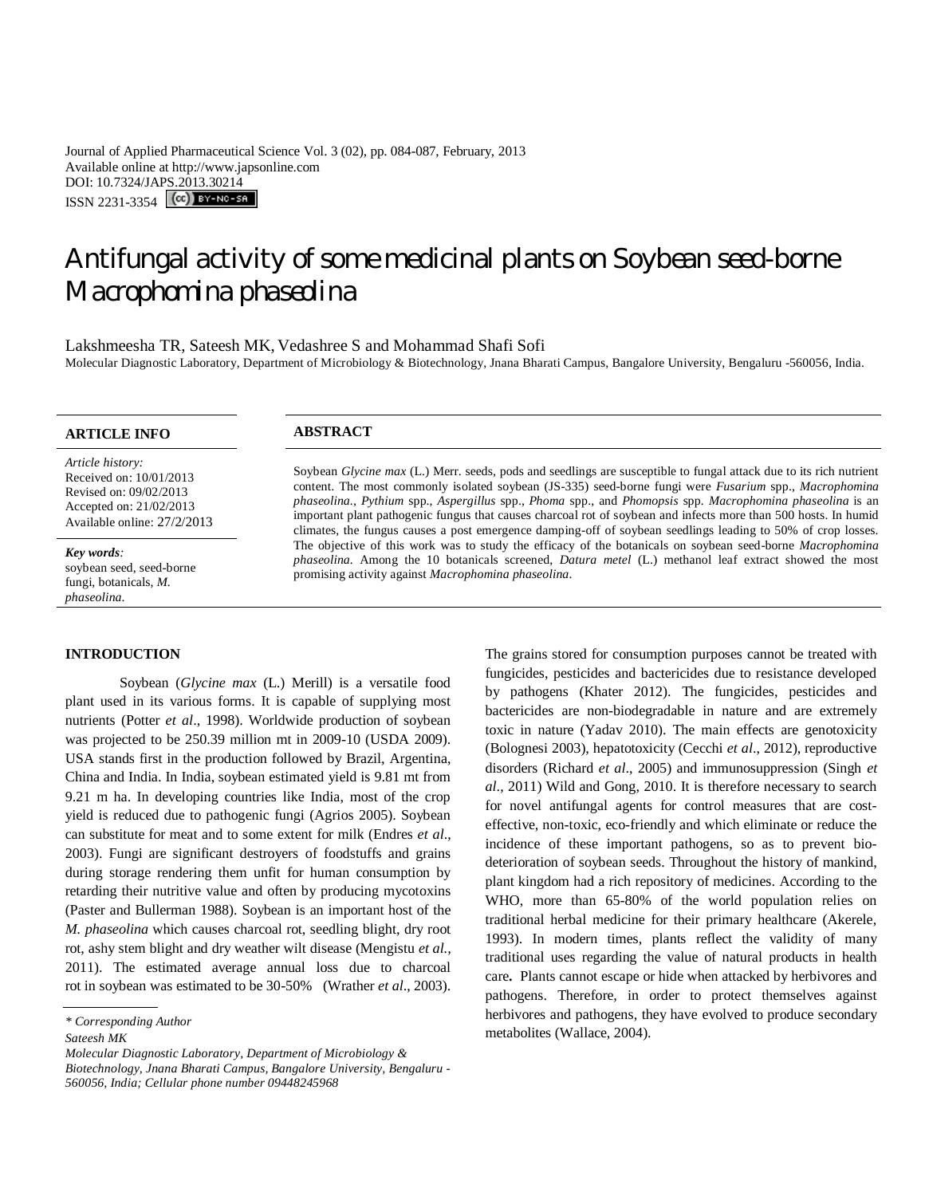Journal of Applied Pharmaceutical Science Vol. 3 (02), pp. 084-087, February, 2013 Available online at http://www.japsonline.com DOI: 10.7324/JAPS.2013.30214 ISSN 2231-3354 (CC) BY-NO-SA

# Antifungal activity of some medicinal plants on Soybean seed-borne *Macrophomina phaseolina*

Lakshmeesha TR, Sateesh MK, Vedashree S and Mohammad Shafi Sofi Molecular Diagnostic Laboratory, Department of Microbiology & Biotechnology, Jnana Bharati Campus, Bangalore University, Bengaluru -560056, India.

*Article history:* Received on: 10/01/2013 Revised on: 09/02/2013 Accepted on: 21/02/2013 Available online: 27/2/2013

*Key words:*  soybean seed, seed-borne fungi, botanicals, *M. phaseolina*.

#### **INTRODUCTION**

Soybean (*Glycine max* (L.) Merill) is a versatile food plant used in its various forms. It is capable of supplying most nutrients (Potter *et al*., 1998). Worldwide production of soybean was projected to be 250.39 million mt in 2009-10 (USDA 2009). USA stands first in the production followed by Brazil, Argentina, China and India. In India, soybean estimated yield is 9.81 mt from 9.21 m ha. In developing countries like India, most of the crop yield is reduced due to pathogenic fungi (Agrios 2005). Soybean can substitute for meat and to some extent for milk (Endres *et al*., 2003). Fungi are significant destroyers of foodstuffs and grains during storage rendering them unfit for human consumption by retarding their nutritive value and often by producing mycotoxins (Paster and Bullerman 1988). Soybean is an important host of the *M. phaseolina* which causes charcoal rot, seedling blight, dry root rot, ashy stem blight and dry weather wilt disease (Mengistu *et al.,* 2011). The estimated average annual loss due to charcoal rot in soybean was estimated to be 30-50% (Wrather *et al*., 2003).

*Molecular Diagnostic Laboratory, Department of Microbiology & Biotechnology, Jnana Bharati Campus, Bangalore University, Bengaluru - 560056, India; Cellular phone number 09448245968*

# **ARTICLE INFO ABSTRACT**

Soybean *Glycine max* (L.) Merr. seeds, pods and seedlings are susceptible to fungal attack due to its rich nutrient content. The most commonly isolated soybean (JS-335) seed-borne fungi were *Fusarium* spp., *Macrophomina phaseolina., Pythium* spp., *Aspergillus* spp., *Phoma* spp., and *Phomopsis* spp*. Macrophomina phaseolina* is an important plant pathogenic fungus that causes charcoal rot of soybean and infects more than 500 hosts. In humid climates, the fungus causes a post emergence damping-off of soybean seedlings leading to 50% of crop losses. The objective of this work was to study the efficacy of the botanicals on soybean seed-borne *Macrophomina phaseolina.* Among the 10 botanicals screened, *Datura metel* (L.) methanol leaf extract showed the most promising activity against *Macrophomina phaseolina*.

> The grains stored for consumption purposes cannot be treated with fungicides, pesticides and bactericides due to resistance developed by pathogens (Khater 2012). The fungicides, pesticides and bactericides are non-biodegradable in nature and are extremely toxic in nature (Yadav 2010). The main effects are genotoxicity (Bolognesi 2003), hepatotoxicity (Cecchi *et al*., 2012), reproductive disorders (Richard *et al*., 2005) and immunosuppression (Singh *et al*., 2011) Wild and Gong, 2010. It is therefore necessary to search for novel antifungal agents for control measures that are costeffective, non-toxic, eco-friendly and which eliminate or reduce the incidence of these important pathogens, so as to prevent biodeterioration of soybean seeds. Throughout the history of mankind, plant kingdom had a rich repository of medicines. According to the WHO, more than 65-80% of the world population relies on traditional herbal medicine for their primary healthcare (Akerele, 1993). In modern times, plants reflect the validity of many traditional uses regarding the value of natural products in health care**.** Plants cannot escape or hide when attacked by herbivores and pathogens. Therefore, in order to protect themselves against herbivores and pathogens, they have evolved to produce secondary metabolites (Wallace, 2004).

*<sup>\*</sup> Corresponding Author*

*Sateesh MK*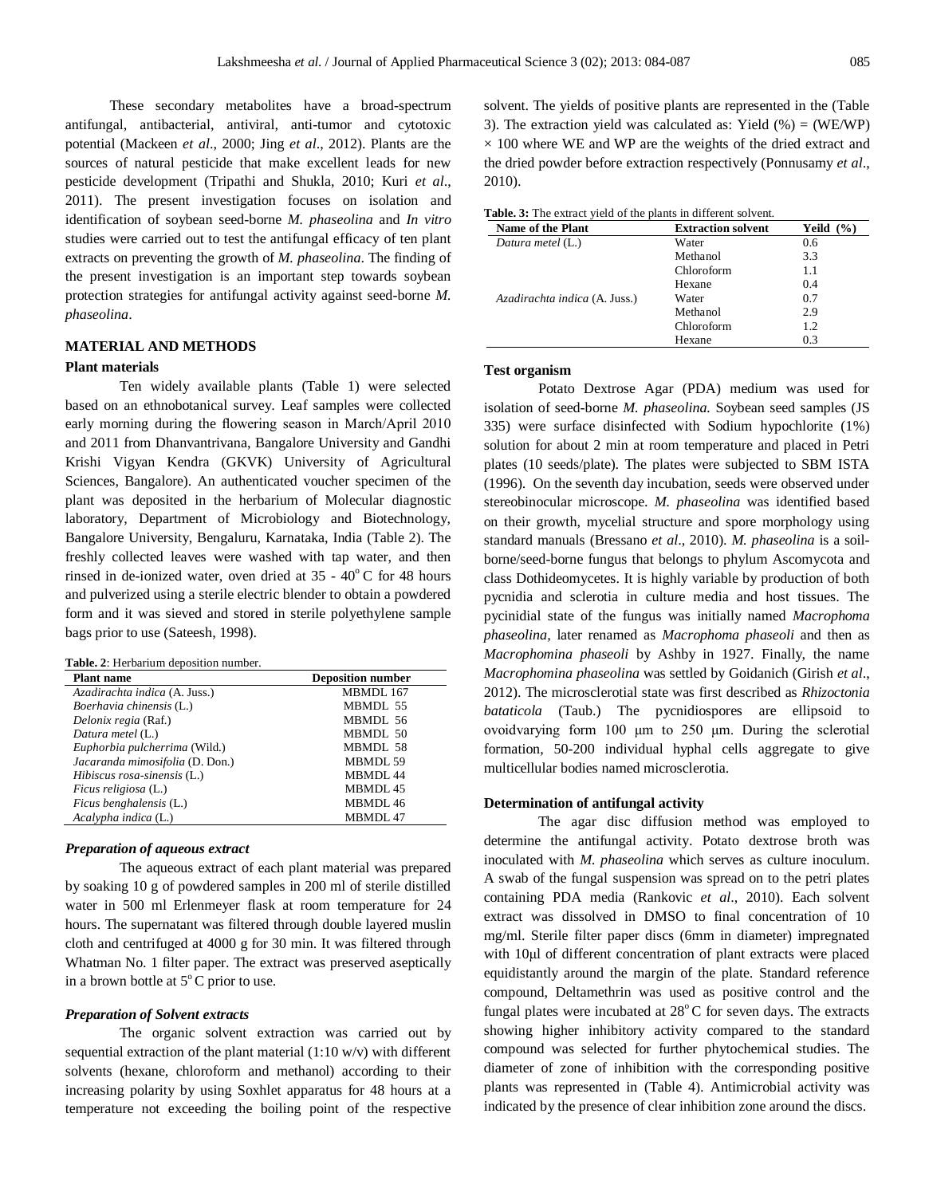These secondary metabolites have a broad-spectrum antifungal, antibacterial, antiviral, anti-tumor and cytotoxic potential (Mackeen *et al*., 2000; Jing *et al*., 2012). Plants are the sources of natural pesticide that make excellent leads for new pesticide development (Tripathi and Shukla, 2010; Kuri *et al*., 2011). The present investigation focuses on isolation and identification of soybean seed-borne *M. phaseolina* and *In vitro* studies were carried out to test the antifungal efficacy of ten plant extracts on preventing the growth of *M. phaseolina*. The finding of the present investigation is an important step towards soybean protection strategies for antifungal activity against seed-borne *M. phaseolina*.

### **MATERIAL AND METHODS**

#### **Plant materials**

Ten widely available plants (Table 1) were selected based on an ethnobotanical survey. Leaf samples were collected early morning during the flowering season in March/April 2010 and 2011 from Dhanvantrivana, Bangalore University and Gandhi Krishi Vigyan Kendra (GKVK) University of Agricultural Sciences, Bangalore). An authenticated voucher specimen of the plant was deposited in the herbarium of Molecular diagnostic laboratory, Department of Microbiology and Biotechnology, Bangalore University, Bengaluru, Karnataka, India (Table 2). The freshly collected leaves were washed with tap water, and then rinsed in de-ionized water, oven dried at  $35 - 40^{\circ}$ C for 48 hours and pulverized using a sterile electric blender to obtain a powdered form and it was sieved and stored in sterile polyethylene sample bags prior to use (Sateesh, 1998).

**Table. 2**: Herbarium deposition number.

| <b>Plant name</b>               | <b>Deposition number</b> |
|---------------------------------|--------------------------|
| Azadirachta indica (A. Juss.)   | MBMDL 167                |
| Boerhavia chinensis (L.)        | MBMDL 55                 |
| Delonix regia (Raf.)            | MBMDL 56                 |
| Datura metel (L.)               | MBMDL 50                 |
| Euphorbia pulcherrima (Wild.)   | MBMDL 58                 |
| Jacaranda mimosifolia (D. Don.) | MBMDL 59                 |
| Hibiscus rosa-sinensis (L.)     | MBMDL <sub>44</sub>      |
| <i>Ficus religiosa</i> (L.)     | MBMDL 45                 |
| Ficus benghalensis (L.)         | MBMDL 46                 |
| Acalypha indica (L.)            | MBMDL 47                 |
|                                 |                          |

# *Preparation of aqueous extract*

The aqueous extract of each plant material was prepared by soaking 10 g of powdered samples in 200 ml of sterile distilled water in 500 ml Erlenmeyer flask at room temperature for 24 hours. The supernatant was filtered through double layered muslin cloth and centrifuged at 4000 g for 30 min. It was filtered through Whatman No. 1 filter paper. The extract was preserved aseptically in a brown bottle at  $5^{\circ}$ C prior to use.

#### *Preparation of Solvent extracts*

The organic solvent extraction was carried out by sequential extraction of the plant material  $(1:10 \text{ w/v})$  with different solvents (hexane, chloroform and methanol) according to their increasing polarity by using Soxhlet apparatus for 48 hours at a temperature not exceeding the boiling point of the respective

solvent. The yields of positive plants are represented in the (Table 3). The extraction yield was calculated as: Yield  $%$  = (WE/WP)  $\times$  100 where WE and WP are the weights of the dried extract and the dried powder before extraction respectively (Ponnusamy *et al*., 2010).

| <b>Name of the Plant</b>      | <b>Extraction solvent</b> | Yeild<br>$($ %) |
|-------------------------------|---------------------------|-----------------|
| Datura metel (L.)             | Water                     | 0.6             |
|                               | Methanol                  | 3.3             |
|                               | Chloroform                | 1.1             |
|                               | Hexane                    | 0.4             |
| Azadirachta indica (A. Juss.) | Water                     | 0.7             |
|                               | Methanol                  | 2.9             |
|                               | Chloroform                | 1.2             |
|                               | Hexane                    | 0.3             |

# **Test organism**

Potato Dextrose Agar (PDA) medium was used for isolation of seed-borne *M. phaseolina.* Soybean seed samples (JS 335) were surface disinfected with Sodium hypochlorite (1%) solution for about 2 min at room temperature and placed in Petri plates (10 seeds/plate). The plates were subjected to SBM ISTA (1996). On the seventh day incubation, seeds were observed under stereobinocular microscope. *M. phaseolina* was identified based on their growth, mycelial structure and spore morphology using standard manuals (Bressano *et al*., 2010). *M. phaseolina* is a soilborne/seed-borne fungus that belongs to phylum Ascomycota and class Dothideomycetes. It is highly variable by production of both pycnidia and sclerotia in culture media and host tissues. The pycinidial state of the fungus was initially named *Macrophoma phaseolina,* later renamed as *Macrophoma phaseoli* and then as *Macrophomina phaseoli* by Ashby in 1927. Finally, the name *Macrophomina phaseolina* was settled by Goidanich (Girish *et al*., 2012). The microsclerotial state was first described as *Rhizoctonia bataticola* (Taub.) The pycnidiospores are ellipsoid to ovoidvarying form 100 μm to 250 μm. During the sclerotial formation, 50-200 individual hyphal cells aggregate to give multicellular bodies named microsclerotia.

#### **Determination of antifungal activity**

The agar disc diffusion method was employed to determine the antifungal activity. Potato dextrose broth was inoculated with *M. phaseolina* which serves as culture inoculum. A swab of the fungal suspension was spread on to the petri plates containing PDA media (Rankovic *et al*., 2010). Each solvent extract was dissolved in DMSO to final concentration of 10 mg/ml. Sterile filter paper discs (6mm in diameter) impregnated with 10μl of different concentration of plant extracts were placed equidistantly around the margin of the plate. Standard reference compound, Deltamethrin was used as positive control and the fungal plates were incubated at  $28^{\circ}$ C for seven days. The extracts showing higher inhibitory activity compared to the standard compound was selected for further phytochemical studies. The diameter of zone of inhibition with the corresponding positive plants was represented in (Table 4). Antimicrobial activity was indicated by the presence of clear inhibition zone around the discs.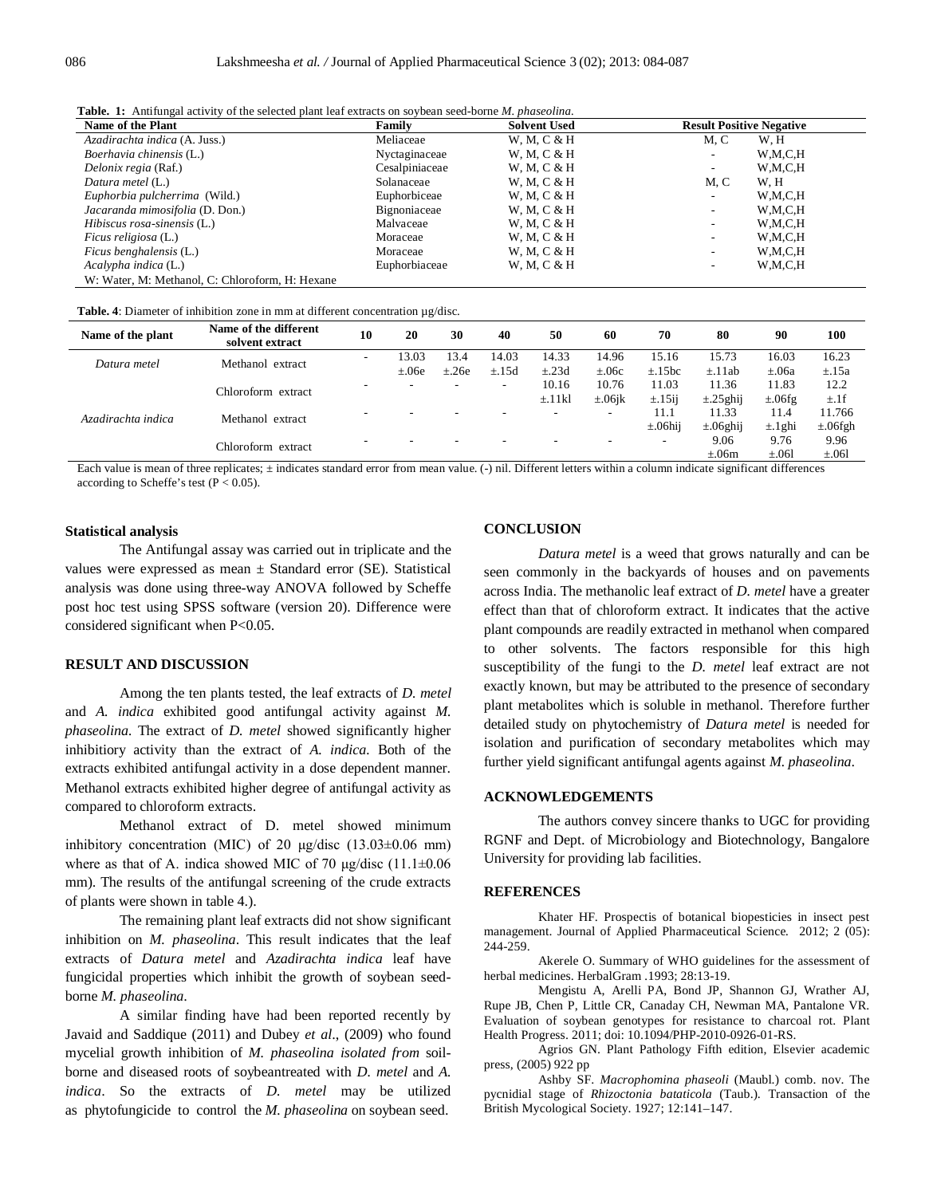|  |  | <b>Table. 1:</b> Antifungal activity of the selected plant leaf extracts on soybean seed-borne <i>M. phaseolina</i> . |  |  |  |  |  |  |
|--|--|-----------------------------------------------------------------------------------------------------------------------|--|--|--|--|--|--|
|--|--|-----------------------------------------------------------------------------------------------------------------------|--|--|--|--|--|--|

| Name of the Plant                               | Family         | <b>Solvent Used</b> | <b>Result Positive Negative</b> |         |  |
|-------------------------------------------------|----------------|---------------------|---------------------------------|---------|--|
| Azadirachta indica (A. Juss.)                   | Meliaceae      | W, M, C & H         | M.C                             | W.H     |  |
| Boerhavia chinensis (L.)                        | Nyctaginaceae  | W, M, C & H         | $\overline{\phantom{a}}$        | W,M,C,H |  |
| Delonix regia (Raf.)                            | Cesalpiniaceae | W, M, C & H         | $\overline{\phantom{a}}$        | W,M,C,H |  |
| Datura metel (L.)                               | Solanaceae     | W, M, C & H         | M, C                            | W.H     |  |
| Euphorbia pulcherrima (Wild.)                   | Euphorbiceae   | W, M, C & H         | $\overline{\phantom{a}}$        | W,M,C,H |  |
| Jacaranda mimosifolia (D. Don.)                 | Bignoniaceae   | W, M, C & H         | $\overline{\phantom{0}}$        | W,M,C,H |  |
| Hibiscus rosa-sinensis (L.)                     | Malvaceae      | W, M, C & H         | $\overline{\phantom{a}}$        | W,M,C,H |  |
| <i>Ficus religiosa</i> (L.)                     | Moraceae       | W, M, C & H         | $\overline{\phantom{a}}$        | W,M,C,H |  |
| Ficus benghalensis (L.)                         | Moraceae       | W, M, C & H         | $\overline{\phantom{a}}$        | W,M,C,H |  |
| Acalypha indica (L.)                            | Euphorbiaceae  | W, M, C & H         | $\overline{\phantom{a}}$        | W,M,C,H |  |
| W: Water, M: Methanol, C: Chloroform, H: Hexane |                |                     |                                 |         |  |

#### **Table. 4**: Diameter of inhibition zone in mm at different concentration µg/disc.

| Name of the plant  | Name of the different<br>solvent extract | 10                       | 20         | 30                       | 40         | 50          | 60           | 70            | 80             | 90           | 100           |
|--------------------|------------------------------------------|--------------------------|------------|--------------------------|------------|-------------|--------------|---------------|----------------|--------------|---------------|
| Datura metel       | Methanol extract                         | $\overline{\phantom{a}}$ | 13.03      | 13.4                     | 14.03      | 14.33       | 14.96        | 15.16         | 15.73          | 16.03        | 16.23         |
|                    |                                          |                          | $\pm .06e$ | $\pm$ .26e               | $\pm$ .15d | $\pm$ .23d  | $\pm .06c$   | $\pm$ .15bc   | $\pm$ .11ab    | $\pm .06a$   | $\pm$ .15a    |
| Azadirachta indica | Chloroform extract                       | -                        | -          | $\overline{\phantom{a}}$ | $\sim$     | 10.16       | 10.76        | 11.03         | 11.36          | 11.83        | 12.2          |
|                    |                                          |                          |            |                          |            | $\pm$ .11kl | $\pm .06$ jk | $\pm$ .15ij   | $\pm$ .25 ghij | $\pm .06$ fg | $\pm .1$ f    |
|                    | Methanol extract                         |                          |            | $\overline{\phantom{0}}$ |            | -           |              | 11.1          | 11.33          | 11.4         | 11.766        |
|                    |                                          |                          |            |                          |            |             |              | $\pm .06$ hij | $\pm .06$ ghij | $\pm$ .1 ghi | $\pm .06$ fgh |
|                    | Chloroform extract                       |                          |            |                          |            |             |              | -             | 9.06           | 9.76         | 9.96          |
|                    |                                          |                          |            |                          |            |             |              |               | $\pm .06m$     | $\pm .061$   | $\pm .061$    |

Each value is mean of three replicates;  $\pm$  indicates standard error from mean value. (-) nil. Different letters within a column indicate significant differences according to Scheffe's test ( $P < 0.05$ ).

#### **Statistical analysis**

The Antifungal assay was carried out in triplicate and the values were expressed as mean  $\pm$  Standard error (SE). Statistical analysis was done using three-way ANOVA followed by Scheffe post hoc test using SPSS software (version 20). Difference were considered significant when P<0.05.

# **RESULT AND DISCUSSION**

Among the ten plants tested, the leaf extracts of *D. metel* and *A. indica* exhibited good antifungal activity against *M. phaseolina.* The extract of *D. metel* showed significantly higher inhibitiory activity than the extract of *A. indica.* Both of the extracts exhibited antifungal activity in a dose dependent manner. Methanol extracts exhibited higher degree of antifungal activity as compared to chloroform extracts.

Methanol extract of D. metel showed minimum inhibitory concentration (MIC) of 20  $\mu$ g/disc (13.03±0.06 mm) where as that of A. indica showed MIC of 70 μg/disc (11.1±0.06 mm). The results of the antifungal screening of the crude extracts of plants were shown in table 4.).

The remaining plant leaf extracts did not show significant inhibition on *M. phaseolina*. This result indicates that the leaf extracts of *Datura metel* and *Azadirachta indica* leaf have fungicidal properties which inhibit the growth of soybean seedborne *M. phaseolina*.

A similar finding have had been reported recently by Javaid and Saddique (2011) and Dubey *et al*., (2009) who found mycelial growth inhibition of *M. phaseolina isolated from* soilborne and diseased roots of soybeantreated with *D. metel* and *A. indica*. So the extracts of *D. metel* may be utilized as phytofungicide to control the *M. phaseolina* on soybean seed.

#### **CONCLUSION**

*Datura metel* is a weed that grows naturally and can be seen commonly in the backyards of houses and on pavements across India. The methanolic leaf extract of *D. metel* have a greater effect than that of chloroform extract. It indicates that the active plant compounds are readily extracted in methanol when compared to other solvents. The factors responsible for this high susceptibility of the fungi to the *D. metel* leaf extract are not exactly known, but may be attributed to the presence of secondary plant metabolites which is soluble in methanol. Therefore further detailed study on phytochemistry of *Datura metel* is needed for isolation and purification of secondary metabolites which may further yield significant antifungal agents against *M. phaseolina*.

#### **ACKNOWLEDGEMENTS**

The authors convey sincere thanks to UGC for providing RGNF and Dept. of Microbiology and Biotechnology, Bangalore University for providing lab facilities.

#### **REFERENCES**

Khater HF. Prospectis of botanical biopesticies in insect pest management. Journal of Applied Pharmaceutical Science*.* 2012; 2 (05): 244-259.

Akerele O. Summary of WHO guidelines for the assessment of herbal medicines. HerbalGram *.*1993; 28:13-19.

Mengistu A, Arelli PA, Bond JP, Shannon GJ, Wrather AJ, Rupe JB, Chen P, Little CR, Canaday CH, Newman MA, Pantalone VR. Evaluation of soybean genotypes for resistance to charcoal rot. Plant Health Progress. 2011; doi: 10.1094/PHP-2010-0926-01-RS.

Agrios GN. Plant Pathology Fifth edition, Elsevier academic press, (2005) 922 pp

Ashby SF. *Macrophomina phaseoli* (Maubl.) comb. nov. The pycnidial stage of *Rhizoctonia bataticola* (Taub.). Transaction of the British Mycological Society. 1927; 12:141–147.